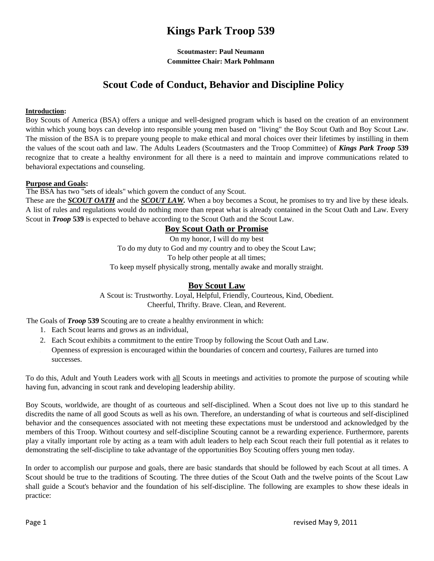# **Kings Park Troop 539**

**Scoutmaster: Paul Neumann Committee Chair: Mark Pohlmann**

## **Scout Code of Conduct, Behavior and Discipline Policy**

#### **Introduction:**

Boy Scouts of America (BSA) offers a unique and well-designed program which is based on the creation of an environment within which young boys can develop into responsible young men based on "living" the Boy Scout Oath and Boy Scout Law. The mission of the BSA is to prepare young people to make ethical and moral choices over their lifetimes by instilling in them the values of the scout oath and law. The Adults Leaders (Scoutmasters and the Troop Committee) of *Kings Park Troop* **539**  recognize that to create a healthy environment for all there is a need to maintain and improve communications related to behavioral expectations and counseling.

#### **Purpose and Goals:**

The BSA has two "sets of ideals" which govern the conduct of any Scout. These are the *SCOUT OATH* and the *SCOUT LAW.* When a boy becomes a Scout, he promises to try and live by these ideals. A list of rules and regulations would do nothing more than repeat what is already contained in the Scout Oath and Law. Every Scout in *Troop* **539** is expected to behave according to the Scout Oath and the Scout Law.

## **Boy Scout Oath or Promise**

On my honor, I will do my best To do my duty to God and my country and to obey the Scout Law; To help other people at all times; To keep myself physically strong, mentally awake and morally straight.

## **Boy Scout Law**

A Scout is: Trustworthy. Loyal, Helpful, Friendly, Courteous, Kind, Obedient. Cheerful, Thrifty. Brave. Clean, and Reverent.

The Goals of *Troop* **539** Scouting are to create a healthy environment in which:

- 1. Each Scout learns and grows as an individual,
- 2. Each Scout exhibits a commitment to the entire Troop by following the Scout Oath and Law. 3. Openness of expression is encouraged within the boundaries of concern and courtesy, Failures are turned into successes.

To do this, Adult and Youth Leaders work with all Scouts in meetings and activities to promote the purpose of scouting while having fun, advancing in scout rank and developing leadership ability.

Boy Scouts, worldwide, are thought of as courteous and self-disciplined. When a Scout does not live up to this standard he discredits the name of all good Scouts as well as his own. Therefore, an understanding of what is courteous and self-disciplined behavior and the consequences associated with not meeting these expectations must be understood and acknowledged by the members of this Troop. Without courtesy and self-discipline Scouting cannot be a rewarding experience. Furthermore, parents play a vitally important role by acting as a team with adult leaders to help each Scout reach their full potential as it relates to demonstrating the self-discipline to take advantage of the opportunities Boy Scouting offers young men today.

In order to accomplish our purpose and goals, there are basic standards that should be followed by each Scout at all times. A Scout should be true to the traditions of Scouting. The three duties of the Scout Oath and the twelve points of the Scout Law shall guide a Scout's behavior and the foundation of his self-discipline. The following are examples to show these ideals in practice: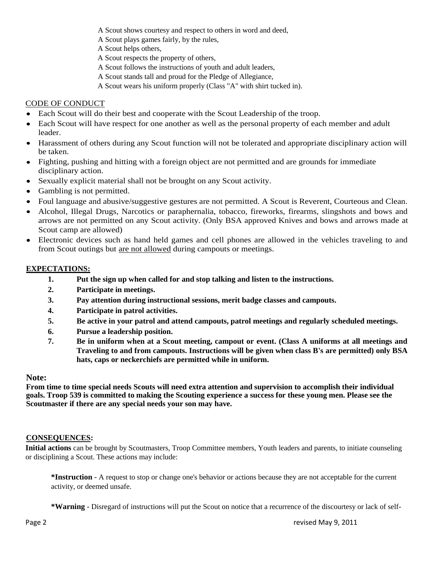- A Scout shows courtesy and respect to others in word and deed,
- A Scout plays games fairly, by the rules,
- A Scout helps others,
- A Scout respects the property of others,
- A Scout follows the instructions of youth and adult leaders,
- A Scout stands tall and proud for the Pledge of Allegiance,
- A Scout wears his uniform properly (Class "A" with shirt tucked in).

## CODE OF CONDUCT

- Each Scout will do their best and cooperate with the Scout Leadership of the troop.
- Each Scout will have respect for one another as well as the personal property of each member and adult  $\bullet$ leader.
- Harassment of others during any Scout function will not be tolerated and appropriate disciplinary action will be taken.
- Fighting, pushing and hitting with a foreign object are not permitted and are grounds for immediate disciplinary action.
- Sexually explicit material shall not be brought on any Scout activity.
- Gambling is not permitted.
- Foul language and abusive/suggestive gestures are not permitted. A Scout is Reverent, Courteous and Clean.
- Alcohol, Illegal Drugs, Narcotics or paraphernalia, tobacco, fireworks, firearms, slingshots and bows and arrows are not permitted on any Scout activity. (Only BSA approved Knives and bows and arrows made at Scout camp are allowed)
- Electronic devices such as hand held games and cell phones are allowed in the vehicles traveling to and  $\bullet$ from Scout outings but are not allowed during campouts or meetings.

## **EXPECTATIONS:**

- **1. Put the sign up when called for and stop talking and listen to the instructions.**
- **2. Participate in meetings.**
- **3. Pay attention during instructional sessions, merit badge classes and campouts.**
- **4. Participate in patrol activities.**
- **5. Be active in your patrol and attend campouts, patrol meetings and regularly scheduled meetings.**
- **6. Pursue a leadership position.**
- **7. Be in uniform when at a Scout meeting, campout or event. (Class A uniforms at all meetings and Traveling to and from campouts. Instructions will be given when class B's are permitted) only BSA hats, caps or neckerchiefs are permitted while in uniform.**

## **Note:**

**From time to time special needs Scouts will need extra attention and supervision to accomplish their individual goals. Troop 539 is committed to making the Scouting experience a success for these young men. Please see the Scoutmaster if there are any special needs your son may have.**

## **CONSEQUENCES:**

**Initial actions** can be brought by Scoutmasters, Troop Committee members, Youth leaders and parents, to initiate counseling or disciplining a Scout. These actions may include:

**\*Instruction** - A request to stop or change one's behavior or actions because they are not acceptable for the current activity, or deemed unsafe.

**\*Warning** - Disregard of instructions will put the Scout on notice that a recurrence of the discourtesy or lack of self-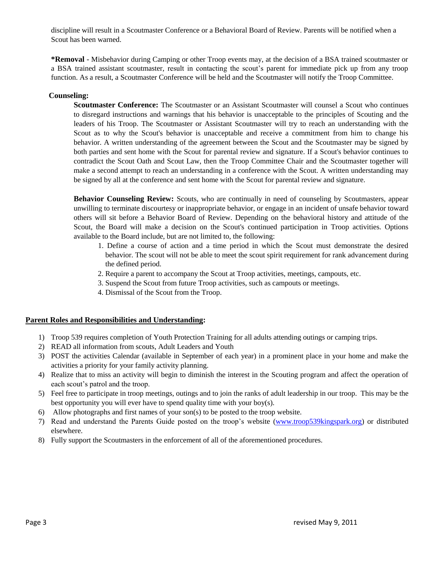discipline will result in a Scoutmaster Conference or a Behavioral Board of Review. Parents will be notified when a Scout has been warned.

**\*Removal** - Misbehavior during Camping or other Troop events may, at the decision of a BSA trained scoutmaster or a BSA trained assistant scoutmaster, result in contacting the scout's parent for immediate pick up from any troop function. As a result, a Scoutmaster Conference will be held and the Scoutmaster will notify the Troop Committee.

#### **Counseling:**

**Scoutmaster Conference:** The Scoutmaster or an Assistant Scoutmaster will counsel a Scout who continues to disregard instructions and warnings that his behavior is unacceptable to the principles of Scouting and the leaders of his Troop. The Scoutmaster or Assistant Scoutmaster will try to reach an understanding with the Scout as to why the Scout's behavior is unacceptable and receive a commitment from him to change his behavior. A written understanding of the agreement between the Scout and the Scoutmaster may be signed by both parties and sent home with the Scout for parental review and signature. If a Scout's behavior continues to contradict the Scout Oath and Scout Law, then the Troop Committee Chair and the Scoutmaster together will make a second attempt to reach an understanding in a conference with the Scout. A written understanding may be signed by all at the conference and sent home with the Scout for parental review and signature.

**Behavior Counseling Review:** Scouts, who are continually in need of counseling by Scoutmasters, appear unwilling to terminate discourtesy or inappropriate behavior, or engage in an incident of unsafe behavior toward others will sit before a Behavior Board of Review. Depending on the behavioral history and attitude of the Scout, the Board will make a decision on the Scout's continued participation in Troop activities. Options available to the Board include, but are not limited to, the following:

- 1. Define a course of action and a time period in which the Scout must demonstrate the desired behavior. The scout will not be able to meet the scout spirit requirement for rank advancement during the defined period.
- 2. Require a parent to accompany the Scout at Troop activities, meetings, campouts, etc.
- 3. Suspend the Scout from future Troop activities, such as campouts or meetings.
- 4. Dismissal of the Scout from the Troop.

#### **Parent Roles and Responsibilities and Understanding:**

- 1) Troop 539 requires completion of Youth Protection Training for all adults attending outings or camping trips.
- 2) READ all information from scouts, Adult Leaders and Youth
- 3) POST the activities Calendar (available in September of each year) in a prominent place in your home and make the activities a priority for your family activity planning.
- 4) Realize that to miss an activity will begin to diminish the interest in the Scouting program and affect the operation of each scout's patrol and the troop.
- 5) Feel free to participate in troop meetings, outings and to join the ranks of adult leadership in our troop. This may be the best opportunity you will ever have to spend quality time with your boy(s).
- 6) Allow photographs and first names of your son(s) to be posted to the troop website.
- 7) Read and understand the Parents Guide posted on the troop's website [\(www.troop539kingspark.org\)](http://www.troop539kingspark.org/) or distributed elsewhere.
- 8) Fully support the Scoutmasters in the enforcement of all of the aforementioned procedures.